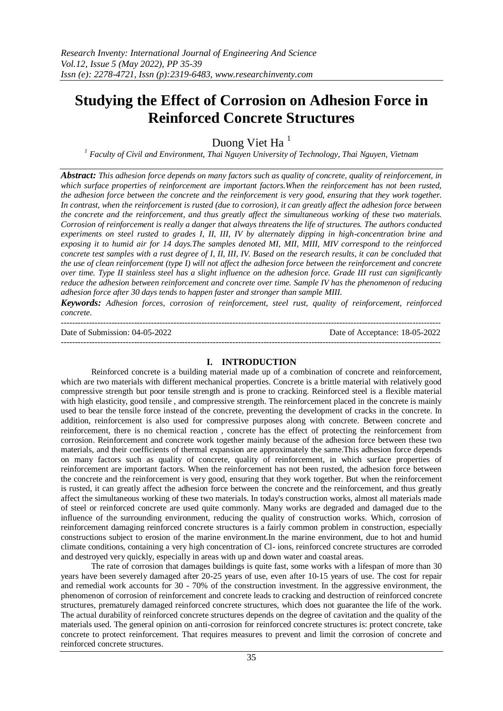# **Studying the Effect of Corrosion on Adhesion Force in Reinforced Concrete Structures**

Duong Viet Ha<sup>1</sup>

*<sup>1</sup> Faculty of Civil and Environment, Thai Nguyen University of Technology, Thai Nguyen, Vietnam*

*Abstract: This adhesion force depends on many factors such as quality of concrete, quality of reinforcement, in which surface properties of reinforcement are important factors.When the reinforcement has not been rusted, the adhesion force between the concrete and the reinforcement is very good, ensuring that they work together. In contrast, when the reinforcement is rusted (due to corrosion), it can greatly affect the adhesion force between the concrete and the reinforcement, and thus greatly affect the simultaneous working of these two materials. Corrosion of reinforcement is really a danger that always threatens the life of structures. The authors conducted experiments on steel rusted to grades I, II, III, IV by alternately dipping in high-concentration brine and exposing it to humid air for 14 days.The samples denoted MI, MII, MIII, MIV correspond to the reinforced concrete test samples with a rust degree of I, II, III, IV. Based on the research results, it can be concluded that the use of clean reinforcement (type I) will not affect the adhesion force between the reinforcement and concrete over time. Type II stainless steel has a slight influence on the adhesion force. Grade III rust can significantly reduce the adhesion between reinforcement and concrete over time. Sample IV has the phenomenon of reducing adhesion force after 30 days tends to happen faster and stronger than sample MIII.*

*Keywords: Adhesion forces, corrosion of reinforcement, steel rust, quality of reinforcement, reinforced concrete.*

--------------------------------------------------------------------------------------------------------------------------------------- Date of Submission: 04-05-2022 Date of Acceptance: 18-05-2022

# **I. INTRODUCTION**

---------------------------------------------------------------------------------------------------------------------------------------

Reinforced concrete is a building material made up of a combination of concrete and reinforcement, which are two materials with different mechanical properties. Concrete is a brittle material with relatively good compressive strength but poor tensile strength and is prone to cracking. Reinforced steel is a flexible material with high elasticity, good tensile, and compressive strength. The reinforcement placed in the concrete is mainly used to bear the tensile force instead of the concrete, preventing the development of cracks in the concrete. In addition, reinforcement is also used for compressive purposes along with concrete. Between concrete and reinforcement, there is no chemical reaction , concrete has the effect of protecting the reinforcement from corrosion. Reinforcement and concrete work together mainly because of the adhesion force between these two materials, and their coefficients of thermal expansion are approximately the same.This adhesion force depends on many factors such as quality of concrete, quality of reinforcement, in which surface properties of reinforcement are important factors. When the reinforcement has not been rusted, the adhesion force between the concrete and the reinforcement is very good, ensuring that they work together. But when the reinforcement is rusted, it can greatly affect the adhesion force between the concrete and the reinforcement, and thus greatly affect the simultaneous working of these two materials. In today's construction works, almost all materials made of steel or reinforced concrete are used quite commonly. Many works are degraded and damaged due to the influence of the surrounding environment, reducing the quality of construction works. Which, corrosion of reinforcement damaging reinforced concrete structures is a fairly common problem in construction, especially constructions subject to erosion of the marine environment.In the marine environment, due to hot and humid climate conditions, containing a very high concentration of Cl- ions, reinforced concrete structures are corroded and destroyed very quickly, especially in areas with up and down water and coastal areas.

The rate of corrosion that damages buildings is quite fast, some works with a lifespan of more than 30 years have been severely damaged after 20-25 years of use, even after 10-15 years of use. The cost for repair and remedial work accounts for 30 - 70% of the construction investment. In the aggressive environment, the phenomenon of corrosion of reinforcement and concrete leads to cracking and destruction of reinforced concrete structures, prematurely damaged reinforced concrete structures, which does not guarantee the life of the work. The actual durability of reinforced concrete structures depends on the degree of cavitation and the quality of the materials used. The general opinion on anti-corrosion for reinforced concrete structures is: protect concrete, take concrete to protect reinforcement. That requires measures to prevent and limit the corrosion of concrete and reinforced concrete structures.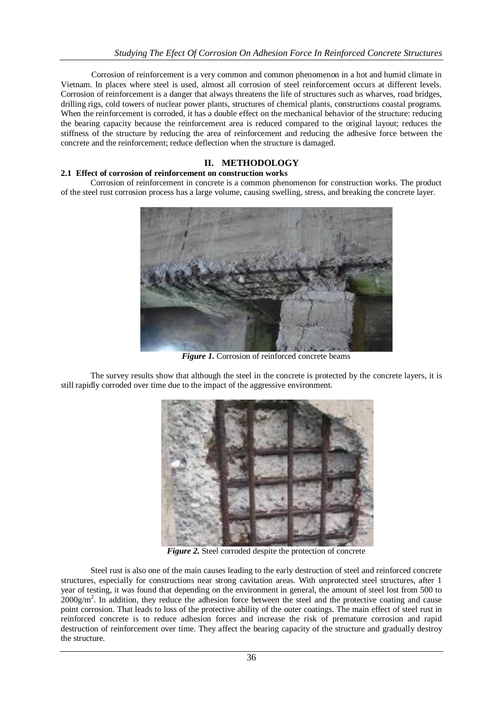Corrosion of reinforcement is a very common and common phenomenon in a hot and humid climate in Vietnam. In places where steel is used, almost all corrosion of steel reinforcement occurs at different levels. Corrosion of reinforcement is a danger that always threatens the life of structures such as wharves, road bridges, drilling rigs, cold towers of nuclear power plants, structures of chemical plants, constructions coastal programs. When the reinforcement is corroded, it has a double effect on the mechanical behavior of the structure: reducing the bearing capacity because the reinforcement area is reduced compared to the original layout; reduces the stiffness of the structure by reducing the area of reinforcement and reducing the adhesive force between the concrete and the reinforcement; reduce deflection when the structure is damaged.

# **II. METHODOLOGY**

## **2.1 Effect of corrosion of reinforcement on construction works**

Corrosion of reinforcement in concrete is a common phenomenon for construction works. The product of the steel rust corrosion process has a large volume, causing swelling, stress, and breaking the concrete layer.



*Figure 1.* Corrosion of reinforced concrete beams

The survey results show that although the steel in the concrete is protected by the concrete layers, it is still rapidly corroded over time due to the impact of the aggressive environment.



*Figure 2.* Steel corroded despite the protection of concrete

Steel rust is also one of the main causes leading to the early destruction of steel and reinforced concrete structures, especially for constructions near strong cavitation areas. With unprotected steel structures, after 1 year of testing, it was found that depending on the environment in general, the amount of steel lost from 500 to  $2000$ g/m<sup>2</sup>. In addition, they reduce the adhesion force between the steel and the protective coating and cause point corrosion. That leads to loss of the protective ability of the outer coatings. The main effect of steel rust in reinforced concrete is to reduce adhesion forces and increase the risk of premature corrosion and rapid destruction of reinforcement over time. They affect the bearing capacity of the structure and gradually destroy the structure.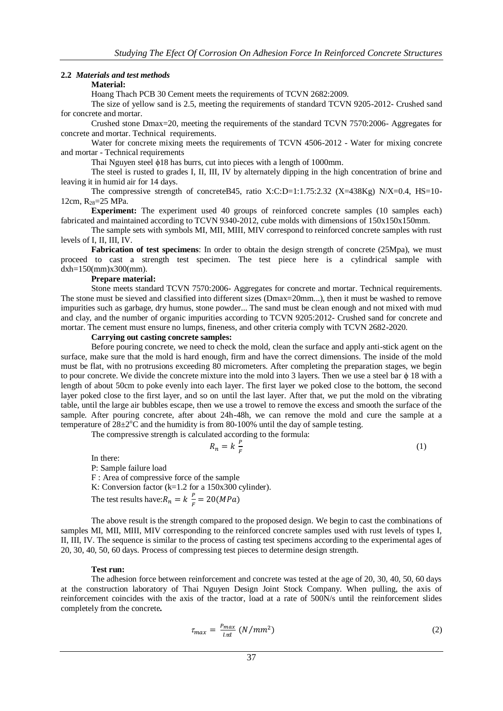#### **2.2** *Materials and test methods*

# **Material:**

Hoang Thach PCB 30 Cement meets the requirements of TCVN 2682:2009.

The size of yellow sand is 2.5, meeting the requirements of standard TCVN 9205-2012- Crushed sand for concrete and mortar.

Crushed stone Dmax=20, meeting the requirements of the standard TCVN 7570:2006- Aggregates for concrete and mortar. Technical requirements.

Water for concrete mixing meets the requirements of TCVN 4506-2012 - Water for mixing concrete and mortar - Technical requirements

Thai Nguyen steel ϕ18 has burrs, cut into pieces with a length of 1000mm.

The steel is rusted to grades I, II, III, IV by alternately dipping in the high concentration of brine and leaving it in humid air for 14 days.

The compressive strength of concreteB45, ratio X:C:D=1:1.75:2.32 (X=438Kg) N/X=0.4, HS=10-12cm,  $R_{28}=25$  MPa.

**Experiment:** The experiment used 40 groups of reinforced concrete samples (10 samples each) fabricated and maintained according to TCVN 9340-2012, cube molds with dimensions of 150x150x150mm.

The sample sets with symbols MI, MII, MIII, MIV correspond to reinforced concrete samples with rust levels of I, II, III, IV.

**Fabrication of test specimens**: In order to obtain the design strength of concrete (25Mpa), we must proceed to cast a strength test specimen. The test piece here is a cylindrical sample with dxh=150(mm)x300(mm).

#### **Prepare material:**

Stone meets standard TCVN 7570:2006- Aggregates for concrete and mortar. Technical requirements. The stone must be sieved and classified into different sizes (Dmax=20mm...), then it must be washed to remove impurities such as garbage, dry humus, stone powder... The sand must be clean enough and not mixed with mud and clay, and the number of organic impurities according to TCVN 9205:2012- Crushed sand for concrete and mortar. The cement must ensure no lumps, fineness, and other criteria comply with TCVN 2682-2020.

#### **Carrying out casting concrete samples:**

Before pouring concrete, we need to check the mold, clean the surface and apply anti-stick agent on the surface, make sure that the mold is hard enough, firm and have the correct dimensions. The inside of the mold must be flat, with no protrusions exceeding 80 micrometers. After completing the preparation stages, we begin to pour concrete. We divide the concrete mixture into the mold into 3 layers. Then we use a steel bar φ 18 with a length of about 50cm to poke evenly into each layer. The first layer we poked close to the bottom, the second layer poked close to the first layer, and so on until the last layer. After that, we put the mold on the vibrating table, until the large air bubbles escape, then we use a trowel to remove the excess and smooth the surface of the sample. After pouring concrete, after about 24h-48h, we can remove the mold and cure the sample at a temperature of  $28\pm2^{\circ}\text{C}$  and the humidity is from 80-100% until the day of sample testing.

The compressive strength is calculated according to the formula:

$$
R_n = k \frac{P}{F} \tag{1}
$$

In there: P: Sample failure load F : Area of compressive force of the sample K: Conversion factor (k=1.2 for a 150x300 cylinder). The test results have:  $R_n = k \frac{P}{R}$  $\frac{r}{F}$  =

The above result is the strength compared to the proposed design. We begin to cast the combinations of samples MI, MII, MIII, MIV corresponding to the reinforced concrete samples used with rust levels of types I, II, III, IV. The sequence is similar to the process of casting test specimens according to the experimental ages of 20, 30, 40, 50, 60 days. Process of compressing test pieces to determine design strength.

#### **Test run:**

The adhesion force between reinforcement and concrete was tested at the age of 20, 30, 40, 50, 60 days at the construction laboratory of Thai Nguyen Design Joint Stock Company. When pulling, the axis of reinforcement coincides with the axis of the tractor, load at a rate of 500N/s until the reinforcement slides completely from the concrete*.*

$$
\tau_{max} = \frac{P_{max}}{l \pi d} \left( N/mm^2 \right) \tag{2}
$$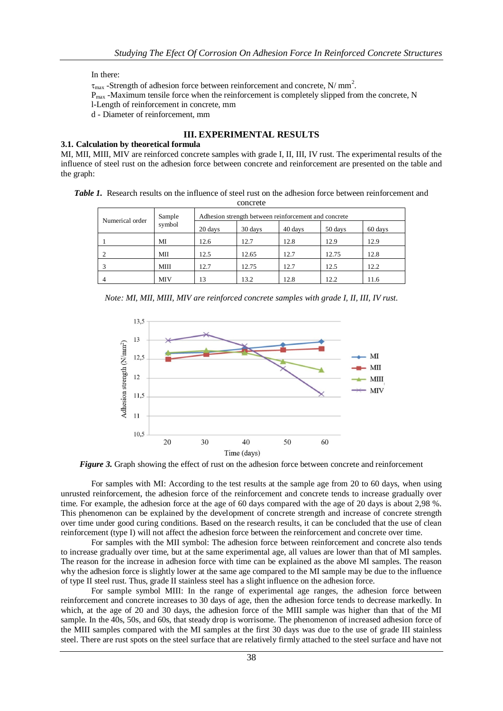In there:

 $\tau_{\text{max}}$  -Strength of adhesion force between reinforcement and concrete, N/ mm<sup>2</sup>.

Pmax -Maximum tensile force when the reinforcement is completely slipped from the concrete, N

l-Length of reinforcement in concrete, mm

d - Diameter of reinforcement, mm

# **III. EXPERIMENTAL RESULTS**

## **3.1. Calculation by theoretical formula**

MI, MII, MIII, MIV are reinforced concrete samples with grade I, II, III, IV rust. The experimental results of the influence of steel rust on the adhesion force between concrete and reinforcement are presented on the table and the graph:

| <b>Table 1.</b> Research results on the influence of steel rust on the adhesion force between reinforcement and |
|-----------------------------------------------------------------------------------------------------------------|
| concrete                                                                                                        |

| Numerical order | Sample<br>symbol | Adhesion strength between reinforcement and concrete |         |         |         |         |
|-----------------|------------------|------------------------------------------------------|---------|---------|---------|---------|
|                 |                  | 20 days                                              | 30 days | 40 days | 50 days | 60 days |
|                 | MI               | 12.6                                                 | 12.7    | 12.8    | 12.9    | 12.9    |
|                 | МII              | 12.5                                                 | 12.65   | 12.7    | 12.75   | 12.8    |
|                 | MIII             | 12.7                                                 | 12.75   | 12.7    | 12.5    | 12.2    |
|                 | MIV              | 13                                                   | 13.2    | 12.8    | 12.2    | 11.6    |

*Note: MI, MII, MIII, MIV are reinforced concrete samples with grade I, II, III, IV rust.*



*Figure 3.* Graph showing the effect of rust on the adhesion force between concrete and reinforcement

For samples with MI: According to the test results at the sample age from 20 to 60 days, when using unrusted reinforcement, the adhesion force of the reinforcement and concrete tends to increase gradually over time. For example, the adhesion force at the age of 60 days compared with the age of 20 days is about 2,98 %. This phenomenon can be explained by the development of concrete strength and increase of concrete strength over time under good curing conditions. Based on the research results, it can be concluded that the use of clean reinforcement (type I) will not affect the adhesion force between the reinforcement and concrete over time.

For samples with the MII symbol: The adhesion force between reinforcement and concrete also tends to increase gradually over time, but at the same experimental age, all values are lower than that of MI samples. The reason for the increase in adhesion force with time can be explained as the above MI samples. The reason why the adhesion force is slightly lower at the same age compared to the MI sample may be due to the influence of type II steel rust. Thus, grade II stainless steel has a slight influence on the adhesion force.

For sample symbol MIII: In the range of experimental age ranges, the adhesion force between reinforcement and concrete increases to 30 days of age, then the adhesion force tends to decrease markedly. In which, at the age of 20 and 30 days, the adhesion force of the MIII sample was higher than that of the MI sample. In the 40s, 50s, and 60s, that steady drop is worrisome. The phenomenon of increased adhesion force of the MIII samples compared with the MI samples at the first 30 days was due to the use of grade III stainless steel. There are rust spots on the steel surface that are relatively firmly attached to the steel surface and have not